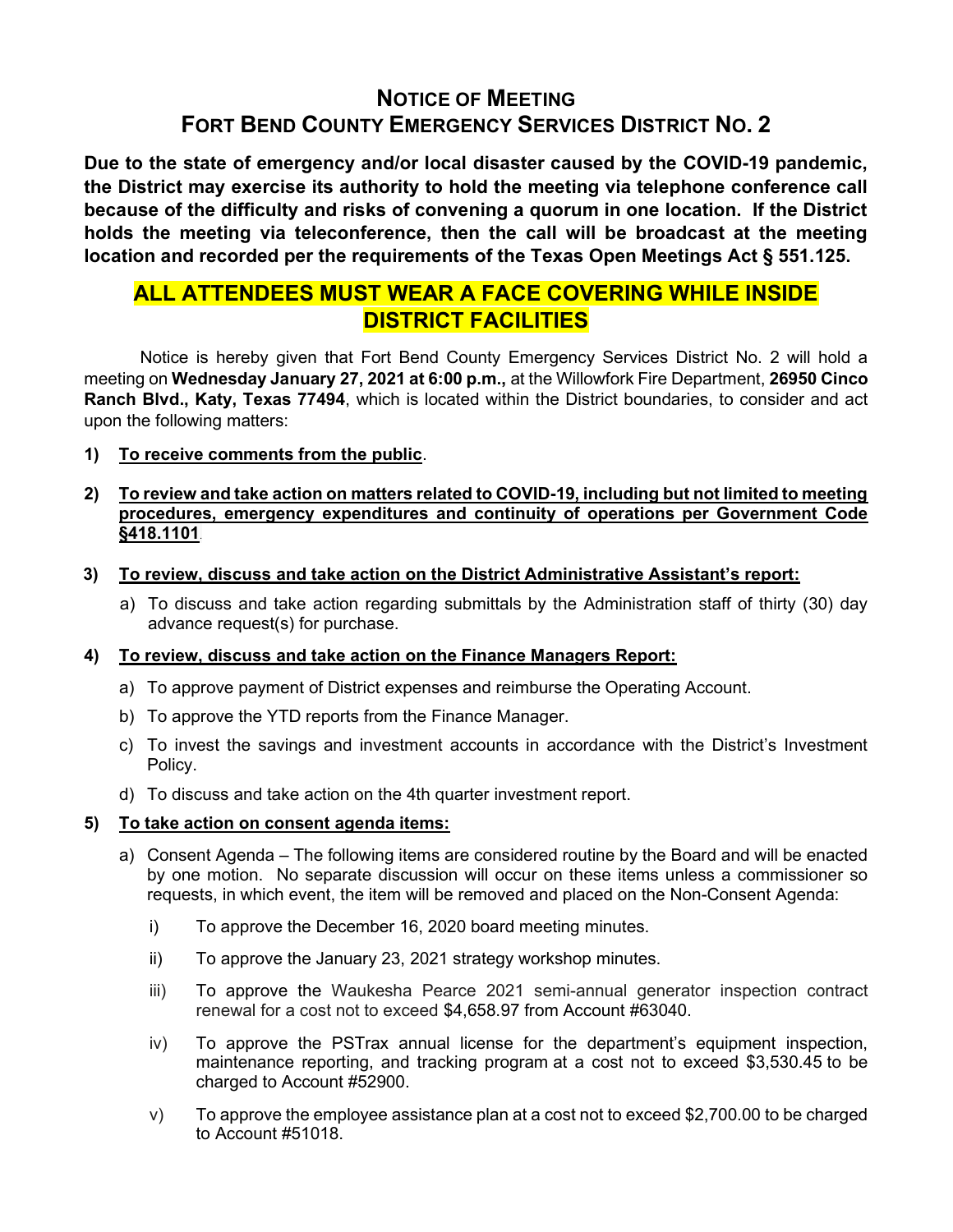# NOTICE OF MEETING FORT BEND COUNTY EMERGENCY SERVICES DISTRICT NO. 2

Due to the state of emergency and/or local disaster caused by the COVID-19 pandemic, the District may exercise its authority to hold the meeting via telephone conference call because of the difficulty and risks of convening a quorum in one location. If the District holds the meeting via teleconference, then the call will be broadcast at the meeting location and recorded per the requirements of the Texas Open Meetings Act § 551.125.

## ALL ATTENDEES MUST WEAR A FACE COVERING WHILE INSIDE DISTRICT FACILITIES

 Notice is hereby given that Fort Bend County Emergency Services District No. 2 will hold a meeting on Wednesday January 27, 2021 at 6:00 p.m., at the Willowfork Fire Department, 26950 Cinco Ranch Blvd., Katy, Texas 77494, which is located within the District boundaries, to consider and act upon the following matters:

1) To receive comments from the public.

## 2) To review and take action on matters related to COVID-19, including but not limited to meeting procedures, emergency expenditures and continuity of operations per Government Code §418.1101.

- 3) To review, discuss and take action on the District Administrative Assistant's report:
	- a) To discuss and take action regarding submittals by the Administration staff of thirty (30) day advance request(s) for purchase.

## 4) To review, discuss and take action on the Finance Managers Report:

- a) To approve payment of District expenses and reimburse the Operating Account.
- b) To approve the YTD reports from the Finance Manager.
- c) To invest the savings and investment accounts in accordance with the District's Investment Policy.
- d) To discuss and take action on the 4th quarter investment report.

### 5) To take action on consent agenda items:

- a) Consent Agenda The following items are considered routine by the Board and will be enacted by one motion. No separate discussion will occur on these items unless a commissioner so requests, in which event, the item will be removed and placed on the Non-Consent Agenda:
	- i) To approve the December 16, 2020 board meeting minutes.
	- ii) To approve the January 23, 2021 strategy workshop minutes.
	- iii) To approve the Waukesha Pearce 2021 semi-annual generator inspection contract renewal for a cost not to exceed \$4,658.97 from Account #63040.
	- iv) To approve the PSTrax annual license for the department's equipment inspection, maintenance reporting, and tracking program at a cost not to exceed \$3,530.45 to be charged to Account #52900.
	- v) To approve the employee assistance plan at a cost not to exceed \$2,700.00 to be charged to Account #51018.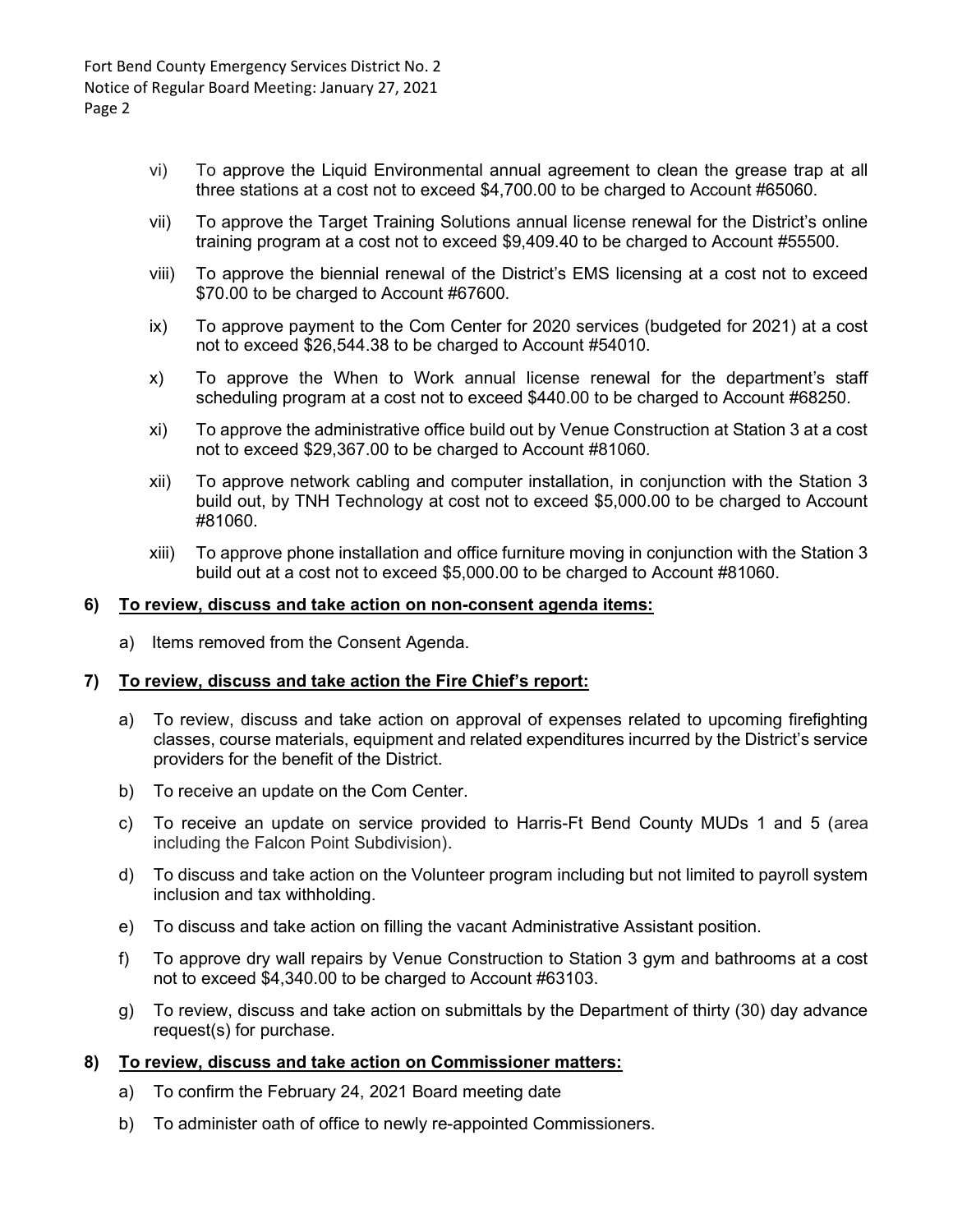Fort Bend County Emergency Services District No. 2 Notice of Regular Board Meeting: January 27, 2021 Page 2

- vi) To approve the Liquid Environmental annual agreement to clean the grease trap at all three stations at a cost not to exceed \$4,700.00 to be charged to Account #65060.
- vii) To approve the Target Training Solutions annual license renewal for the District's online training program at a cost not to exceed \$9,409.40 to be charged to Account #55500.
- viii) To approve the biennial renewal of the District's EMS licensing at a cost not to exceed \$70.00 to be charged to Account #67600.
- ix) To approve payment to the Com Center for 2020 services (budgeted for 2021) at a cost not to exceed \$26,544.38 to be charged to Account #54010.
- x) To approve the When to Work annual license renewal for the department's staff scheduling program at a cost not to exceed \$440.00 to be charged to Account #68250.
- xi) To approve the administrative office build out by Venue Construction at Station 3 at a cost not to exceed \$29,367.00 to be charged to Account #81060.
- xii) To approve network cabling and computer installation, in conjunction with the Station 3 build out, by TNH Technology at cost not to exceed \$5,000.00 to be charged to Account #81060.
- xiii) To approve phone installation and office furniture moving in conjunction with the Station 3 build out at a cost not to exceed \$5,000.00 to be charged to Account #81060.

### 6) To review, discuss and take action on non-consent agenda items:

a) Items removed from the Consent Agenda.

#### 7) To review, discuss and take action the Fire Chief's report:

- a) To review, discuss and take action on approval of expenses related to upcoming firefighting classes, course materials, equipment and related expenditures incurred by the District's service providers for the benefit of the District.
- b) To receive an update on the Com Center.
- c) To receive an update on service provided to Harris-Ft Bend County MUDs 1 and 5 (area including the Falcon Point Subdivision).
- d) To discuss and take action on the Volunteer program including but not limited to payroll system inclusion and tax withholding.
- e) To discuss and take action on filling the vacant Administrative Assistant position.
- f) To approve dry wall repairs by Venue Construction to Station 3 gym and bathrooms at a cost not to exceed \$4,340.00 to be charged to Account #63103.
- g) To review, discuss and take action on submittals by the Department of thirty (30) day advance request(s) for purchase.

### 8) To review, discuss and take action on Commissioner matters:

- a) To confirm the February 24, 2021 Board meeting date
- b) To administer oath of office to newly re-appointed Commissioners.